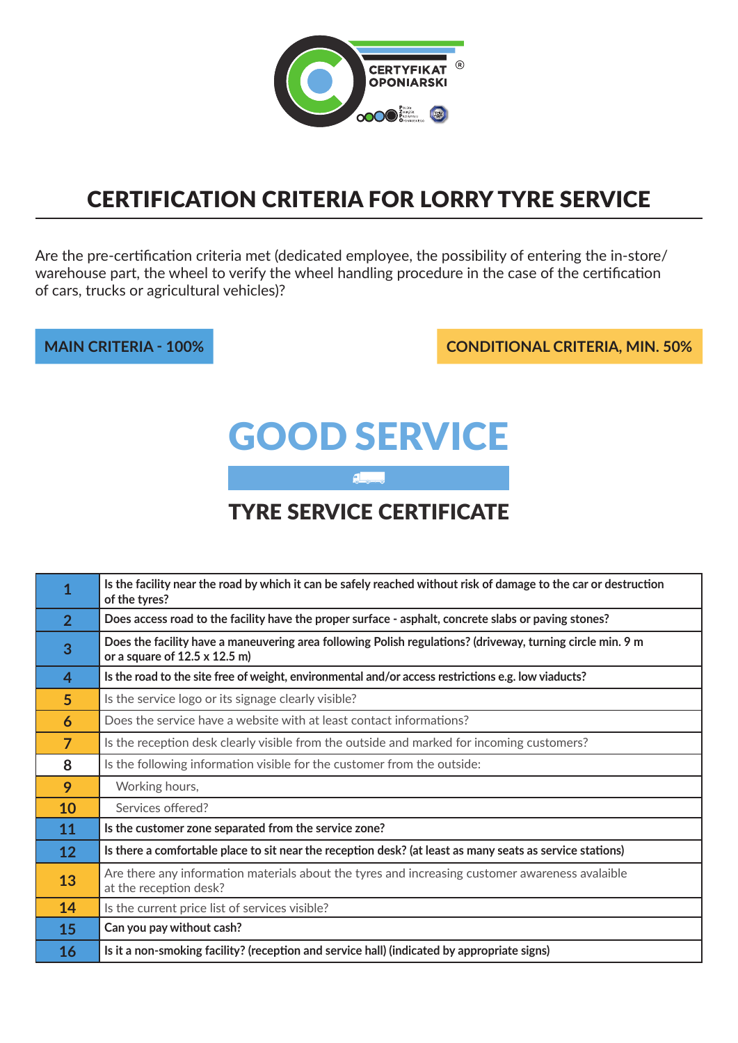

### Certification Criteria for lorry tyre service

Are the pre-certification criteria met (dedicated employee, the possibility of entering the in-store/ warehouse part, the wheel to verify the wheel handling procedure in the case of the certification of cars, trucks or agricultural vehicles)?

**main criteria - 100% conditional criteria, min. 50%**

# Good service

#### tyre service certificate

 $\overline{a}$ 

| 1              | Is the facility near the road by which it can be safely reached without risk of damage to the car or destruction<br>of the tyres?                  |
|----------------|----------------------------------------------------------------------------------------------------------------------------------------------------|
| 2 <sup>1</sup> | Does access road to the facility have the proper surface - asphalt, concrete slabs or paving stones?                                               |
| 3              | Does the facility have a maneuvering area following Polish regulations? (driveway, turning circle min. 9 m<br>or a square of $12.5 \times 12.5$ m) |
| 4              | Is the road to the site free of weight, environmental and/or access restrictions e.g. low viaducts?                                                |
| $5\phantom{.}$ | Is the service logo or its signage clearly visible?                                                                                                |
| 6              | Does the service have a website with at least contact informations?                                                                                |
| $\overline{7}$ | Is the reception desk clearly visible from the outside and marked for incoming customers?                                                          |
| 8              | Is the following information visible for the customer from the outside:                                                                            |
| 9              | Working hours,                                                                                                                                     |
| 10             | Services offered?                                                                                                                                  |
| 11             | Is the customer zone separated from the service zone?                                                                                              |
| 12             | Is there a comfortable place to sit near the reception desk? (at least as many seats as service stations)                                          |
| 13             | Are there any information materials about the tyres and increasing customer awareness avalaible<br>at the reception desk?                          |
| 14             | Is the current price list of services visible?                                                                                                     |
| 15             | Can you pay without cash?                                                                                                                          |
| 16             | Is it a non-smoking facility? (reception and service hall) (indicated by appropriate signs)                                                        |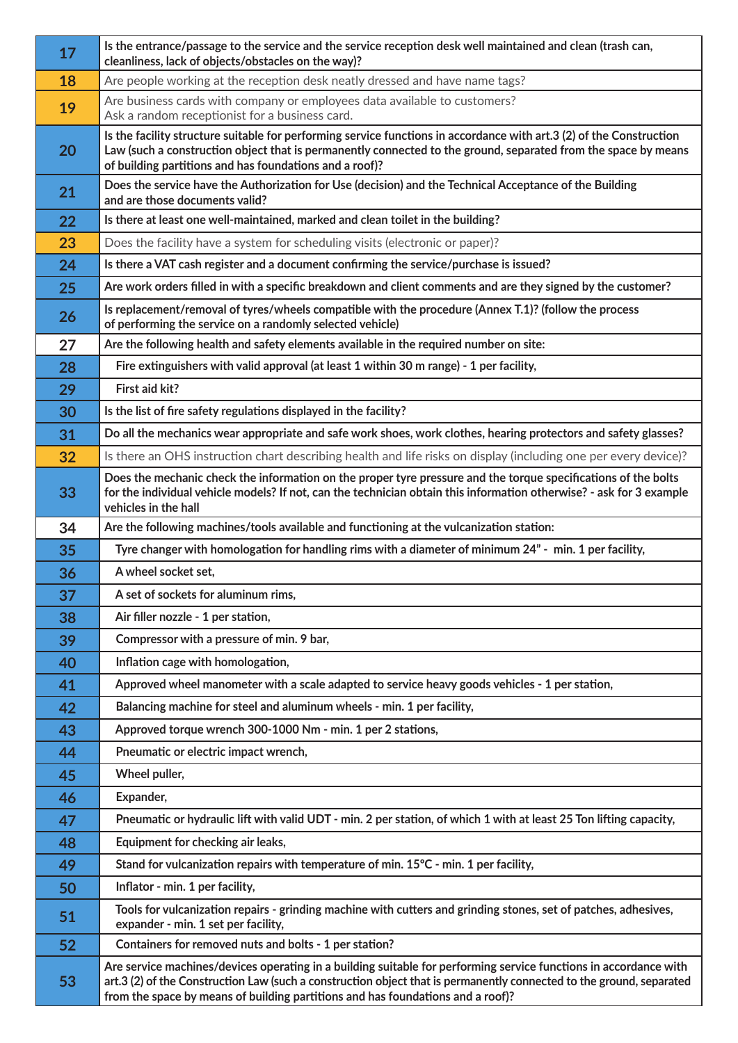| 17 | Is the entrance/passage to the service and the service reception desk well maintained and clean (trash can,<br>cleanliness, lack of objects/obstacles on the way)?                                                                                                                                                           |
|----|------------------------------------------------------------------------------------------------------------------------------------------------------------------------------------------------------------------------------------------------------------------------------------------------------------------------------|
| 18 | Are people working at the reception desk neatly dressed and have name tags?                                                                                                                                                                                                                                                  |
| 19 | Are business cards with company or employees data available to customers?<br>Ask a random receptionist for a business card.                                                                                                                                                                                                  |
| 20 | Is the facility structure suitable for performing service functions in accordance with art.3 (2) of the Construction<br>Law (such a construction object that is permanently connected to the ground, separated from the space by means<br>of building partitions and has foundations and a roof)?                            |
| 21 | Does the service have the Authorization for Use (decision) and the Technical Acceptance of the Building<br>and are those documents valid?                                                                                                                                                                                    |
| 22 | Is there at least one well-maintained, marked and clean toilet in the building?                                                                                                                                                                                                                                              |
| 23 | Does the facility have a system for scheduling visits (electronic or paper)?                                                                                                                                                                                                                                                 |
| 24 | Is there a VAT cash register and a document confirming the service/purchase is issued?                                                                                                                                                                                                                                       |
| 25 | Are work orders filled in with a specific breakdown and client comments and are they signed by the customer?                                                                                                                                                                                                                 |
| 26 | Is replacement/removal of tyres/wheels compatible with the procedure (Annex T.1)? (follow the process<br>of performing the service on a randomly selected vehicle)                                                                                                                                                           |
| 27 | Are the following health and safety elements available in the required number on site:                                                                                                                                                                                                                                       |
| 28 | Fire extinguishers with valid approval (at least 1 within 30 m range) - 1 per facility,                                                                                                                                                                                                                                      |
| 29 | First aid kit?                                                                                                                                                                                                                                                                                                               |
| 30 | Is the list of fire safety regulations displayed in the facility?                                                                                                                                                                                                                                                            |
| 31 | Do all the mechanics wear appropriate and safe work shoes, work clothes, hearing protectors and safety glasses?                                                                                                                                                                                                              |
| 32 | Is there an OHS instruction chart describing health and life risks on display (including one per every device)?                                                                                                                                                                                                              |
| 33 | Does the mechanic check the information on the proper tyre pressure and the torque specifications of the bolts<br>for the individual vehicle models? If not, can the technician obtain this information otherwise? - ask for 3 example<br>vehicles in the hall                                                               |
| 34 | Are the following machines/tools available and functioning at the vulcanization station:                                                                                                                                                                                                                                     |
| 35 | Tyre changer with homologation for handling rims with a diameter of minimum 24" - min. 1 per facility,                                                                                                                                                                                                                       |
| 36 | A wheel socket set,                                                                                                                                                                                                                                                                                                          |
| 37 | A set of sockets for aluminum rims,                                                                                                                                                                                                                                                                                          |
| 38 | Air filler nozzle - 1 per station,                                                                                                                                                                                                                                                                                           |
| 39 | Compressor with a pressure of min. 9 bar,                                                                                                                                                                                                                                                                                    |
| 40 | Inflation cage with homologation,                                                                                                                                                                                                                                                                                            |
| 41 | Approved wheel manometer with a scale adapted to service heavy goods vehicles - 1 per station,                                                                                                                                                                                                                               |
| 42 | Balancing machine for steel and aluminum wheels - min. 1 per facility,                                                                                                                                                                                                                                                       |
| 43 | Approved torque wrench 300-1000 Nm - min. 1 per 2 stations,                                                                                                                                                                                                                                                                  |
| 44 | Pneumatic or electric impact wrench,                                                                                                                                                                                                                                                                                         |
| 45 | Wheel puller,                                                                                                                                                                                                                                                                                                                |
| 46 | Expander,                                                                                                                                                                                                                                                                                                                    |
| 47 | Pneumatic or hydraulic lift with valid UDT - min. 2 per station, of which 1 with at least 25 Ton lifting capacity,                                                                                                                                                                                                           |
| 48 | Equipment for checking air leaks,                                                                                                                                                                                                                                                                                            |
| 49 | Stand for vulcanization repairs with temperature of min. 15°C - min. 1 per facility,                                                                                                                                                                                                                                         |
| 50 | Inflator - min. 1 per facility,                                                                                                                                                                                                                                                                                              |
| 51 | Tools for vulcanization repairs - grinding machine with cutters and grinding stones, set of patches, adhesives,<br>expander - min. 1 set per facility,                                                                                                                                                                       |
| 52 | Containers for removed nuts and bolts - 1 per station?                                                                                                                                                                                                                                                                       |
| 53 | Are service machines/devices operating in a building suitable for performing service functions in accordance with<br>art.3 (2) of the Construction Law (such a construction object that is permanently connected to the ground, separated<br>from the space by means of building partitions and has foundations and a roof)? |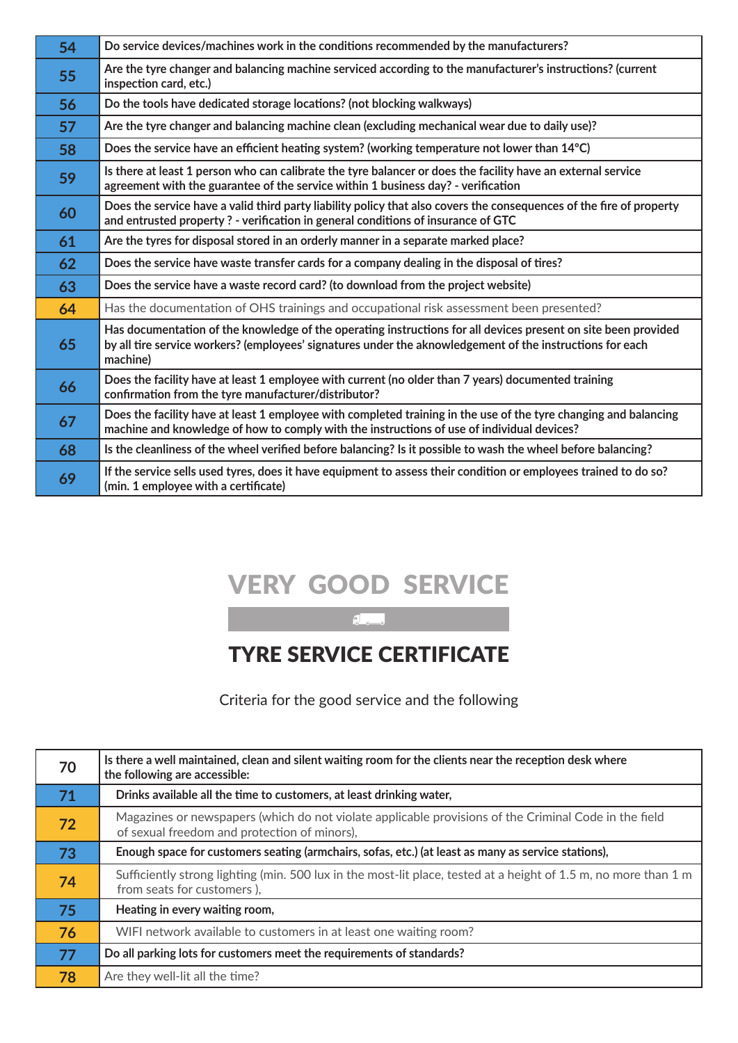| 54 | Do service devices/machines work in the conditions recommended by the manufacturers?                                                                                                                                                    |
|----|-----------------------------------------------------------------------------------------------------------------------------------------------------------------------------------------------------------------------------------------|
| 55 | Are the tyre changer and balancing machine serviced according to the manufacturer's instructions? (current<br>inspection card, etc.)                                                                                                    |
| 56 | Do the tools have dedicated storage locations? (not blocking walkways)                                                                                                                                                                  |
| 57 | Are the tyre changer and balancing machine clean (excluding mechanical wear due to daily use)?                                                                                                                                          |
| 58 | Does the service have an efficient heating system? (working temperature not lower than 14°C)                                                                                                                                            |
| 59 | Is there at least 1 person who can calibrate the tyre balancer or does the facility have an external service<br>agreement with the guarantee of the service within 1 business day? - verification                                       |
| 60 | Does the service have a valid third party liability policy that also covers the consequences of the fire of property<br>and entrusted property? - verification in general conditions of insurance of GTC                                |
| 61 | Are the tyres for disposal stored in an orderly manner in a separate marked place?                                                                                                                                                      |
| 62 | Does the service have waste transfer cards for a company dealing in the disposal of tires?                                                                                                                                              |
| 63 | Does the service have a waste record card? (to download from the project website)                                                                                                                                                       |
| 64 | Has the documentation of OHS trainings and occupational risk assessment been presented?                                                                                                                                                 |
| 65 | Has documentation of the knowledge of the operating instructions for all devices present on site been provided<br>by all tire service workers? (employees' signatures under the aknowledgement of the instructions for each<br>machine) |
| 66 | Does the facility have at least 1 employee with current (no older than 7 years) documented training<br>confirmation from the tyre manufacturer/distributor?                                                                             |
| 67 | Does the facility have at least 1 employee with completed training in the use of the tyre changing and balancing<br>machine and knowledge of how to comply with the instructions of use of individual devices?                          |
| 68 | Is the cleanliness of the wheel verified before balancing? Is it possible to wash the wheel before balancing?                                                                                                                           |
| 69 | If the service sells used tyres, does it have equipment to assess their condition or employees trained to do so?<br>(min. 1 employee with a certificate)                                                                                |

## very good service

 $\overline{\phantom{a}}$ 

### tyre service certificate

Criteria for the good service and the following

| 70 | Is there a well maintained, clean and silent waiting room for the clients near the reception desk where<br>the following are accessible:              |
|----|-------------------------------------------------------------------------------------------------------------------------------------------------------|
| 71 | Drinks available all the time to customers, at least drinking water,                                                                                  |
| 72 | Magazines or newspapers (which do not violate applicable provisions of the Criminal Code in the field<br>of sexual freedom and protection of minors), |
| 73 | Enough space for customers seating (armchairs, sofas, etc.) (at least as many as service stations),                                                   |
| 74 | Sufficiently strong lighting (min. 500 lux in the most-lit place, tested at a height of 1.5 m, no more than 1 m<br>from seats for customers),         |
| 75 | Heating in every waiting room,                                                                                                                        |
| 76 | WIFI network available to customers in at least one waiting room?                                                                                     |
| 77 | Do all parking lots for customers meet the requirements of standards?                                                                                 |
| 78 | Are they well-lit all the time?                                                                                                                       |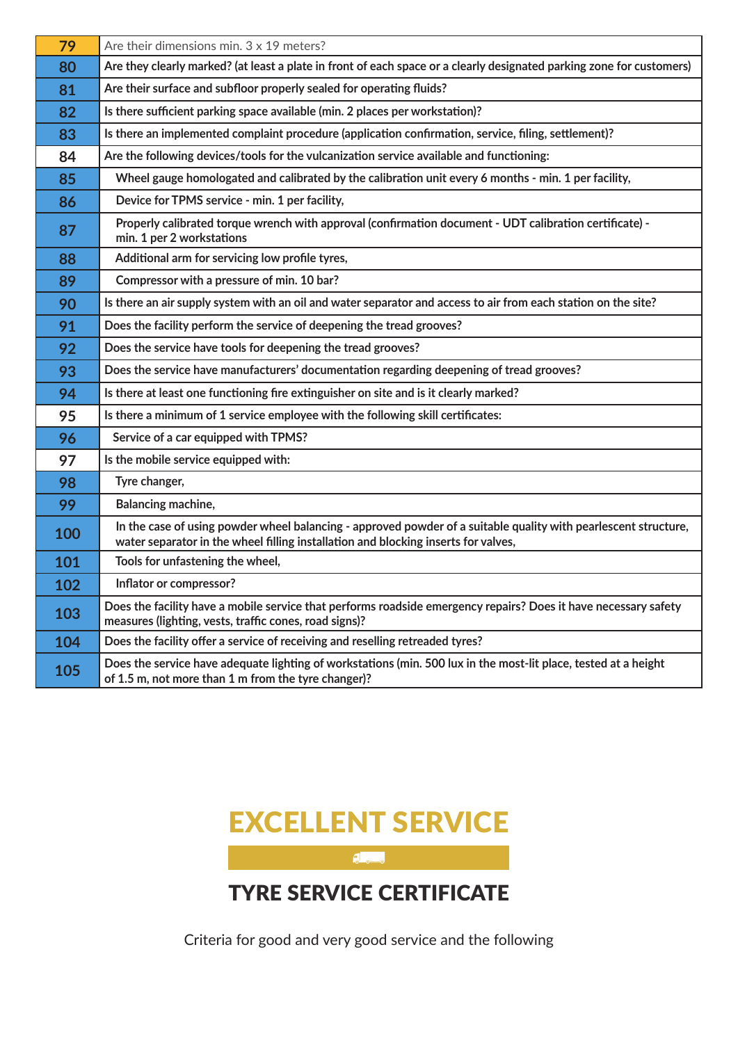| 79  | Are their dimensions min. $3 \times 19$ meters?                                                                                                                                                       |
|-----|-------------------------------------------------------------------------------------------------------------------------------------------------------------------------------------------------------|
| 80  | Are they clearly marked? (at least a plate in front of each space or a clearly designated parking zone for customers)                                                                                 |
| 81  | Are their surface and subfloor properly sealed for operating fluids?                                                                                                                                  |
| 82  | Is there sufficient parking space available (min. 2 places per workstation)?                                                                                                                          |
| 83  | Is there an implemented complaint procedure (application confirmation, service, filing, settlement)?                                                                                                  |
| 84  | Are the following devices/tools for the vulcanization service available and functioning:                                                                                                              |
| 85  | Wheel gauge homologated and calibrated by the calibration unit every 6 months - min. 1 per facility,                                                                                                  |
| 86  | Device for TPMS service - min. 1 per facility,                                                                                                                                                        |
| 87  | Properly calibrated torque wrench with approval (confirmation document - UDT calibration certificate) -<br>min. 1 per 2 workstations                                                                  |
| 88  | Additional arm for servicing low profile tyres,                                                                                                                                                       |
| 89  | Compressor with a pressure of min. 10 bar?                                                                                                                                                            |
| 90  | Is there an air supply system with an oil and water separator and access to air from each station on the site?                                                                                        |
| 91  | Does the facility perform the service of deepening the tread grooves?                                                                                                                                 |
| 92  | Does the service have tools for deepening the tread grooves?                                                                                                                                          |
| 93  | Does the service have manufacturers' documentation regarding deepening of tread grooves?                                                                                                              |
| 94  | Is there at least one functioning fire extinguisher on site and is it clearly marked?                                                                                                                 |
| 95  | Is there a minimum of 1 service employee with the following skill certificates:                                                                                                                       |
| 96  | Service of a car equipped with TPMS?                                                                                                                                                                  |
| 97  | Is the mobile service equipped with:                                                                                                                                                                  |
| 98  | Tyre changer,                                                                                                                                                                                         |
| 99  | Balancing machine,                                                                                                                                                                                    |
| 100 | In the case of using powder wheel balancing - approved powder of a suitable quality with pearlescent structure,<br>water separator in the wheel filling installation and blocking inserts for valves, |
| 101 | Tools for unfastening the wheel,                                                                                                                                                                      |
| 102 | Inflator or compressor?                                                                                                                                                                               |
| 103 | Does the facility have a mobile service that performs roadside emergency repairs? Does it have necessary safety<br>measures (lighting, vests, traffic cones, road signs)?                             |
| 104 | Does the facility offer a service of receiving and reselling retreaded tyres?                                                                                                                         |
| 105 | Does the service have adequate lighting of workstations (min. 500 lux in the most-lit place, tested at a height<br>of 1.5 m, not more than 1 m from the tyre changer)?                                |



Criteria for good and very good service and the following